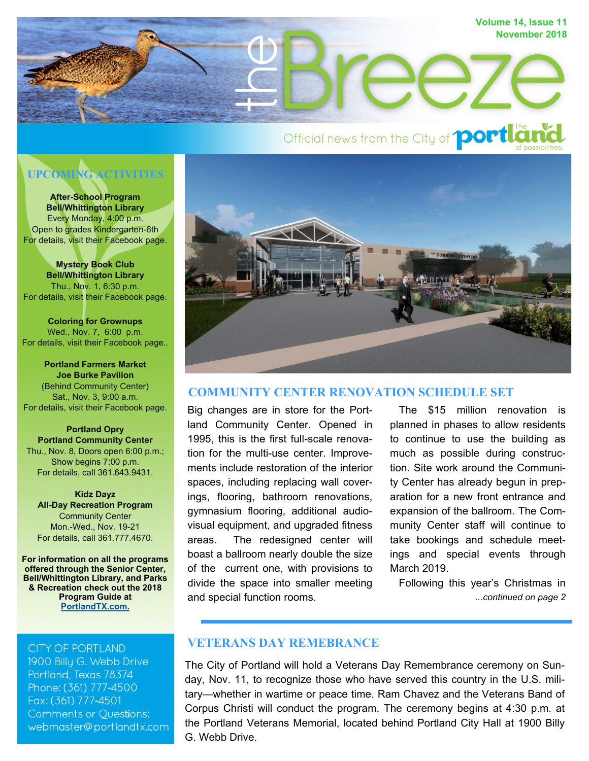

# Official news from the City of **portlan**

# **UPCOMING ACTIVITIES**

**After-School Program Bell/Whittington Library**  Every Monday, 4:00 p.m. Open to grades Kindergarten-6th For details, visit their Facebook page.

**Mystery Book Club Bell/Whittington Library**  Thu., Nov. 1, 6:30 p.m. For details, visit their Facebook page.

**Coloring for Grownups**  Wed., Nov. 7, 6:00 p.m. For details, visit their Facebook page..

**Portland Farmers Market Joe Burke Pavilion**  (Behind Community Center) Sat., Nov. 3, 9:00 a.m. For details, visit their Facebook page.

**Portland Opry Portland Community Center**  Thu., Nov. 8, Doors open 6:00 p.m.; Show begins 7:00 p.m. For details, call 361.643.9431.

**Kidz Dayz All-Day Recreation Program**  Community Center Mon.-Wed., Nov. 19-21 For details, call 361.777.4670.

**For information on all the programs offered through the Senior Center, Bell/Whittington Library, and Parks & Recreation check out the 2018 Program Guide at PortlandTX.com.**

**CITY OF PORTLAND** 

1900 Billu G. Webb Drive Portland, Texas 78374 Phone: (361) 777-4500 Fax: (361) 777-4501 **Comments or Questions:** webmaster@portlandtx.com



## **COMMUNITY CENTER RENOVATION SCHEDULE SET**

Big changes are in store for the Portland Community Center. Opened in 1995, this is the first full-scale renovation for the multi-use center. Improvements include restoration of the interior spaces, including replacing wall coverings, flooring, bathroom renovations, gymnasium flooring, additional audiovisual equipment, and upgraded fitness areas. The redesigned center will boast a ballroom nearly double the size of the current one, with provisions to divide the space into smaller meeting and special function rooms.

 The \$15 million renovation is planned in phases to allow residents to continue to use the building as much as possible during construction. Site work around the Community Center has already begun in preparation for a new front entrance and expansion of the ballroom. The Community Center staff will continue to take bookings and schedule meetings and special events through March 2019.

*...continued on page 2* Following this year's Christmas in

# **VETERANS DAY REMEBRANCE**

The City of Portland will hold a Veterans Day Remembrance ceremony on Sunday, Nov. 11, to recognize those who have served this country in the U.S. military—whether in wartime or peace time. Ram Chavez and the Veterans Band of Corpus Christi will conduct the program. The ceremony begins at 4:30 p.m. at the Portland Veterans Memorial, located behind Portland City Hall at 1900 Billy G. Webb Drive.